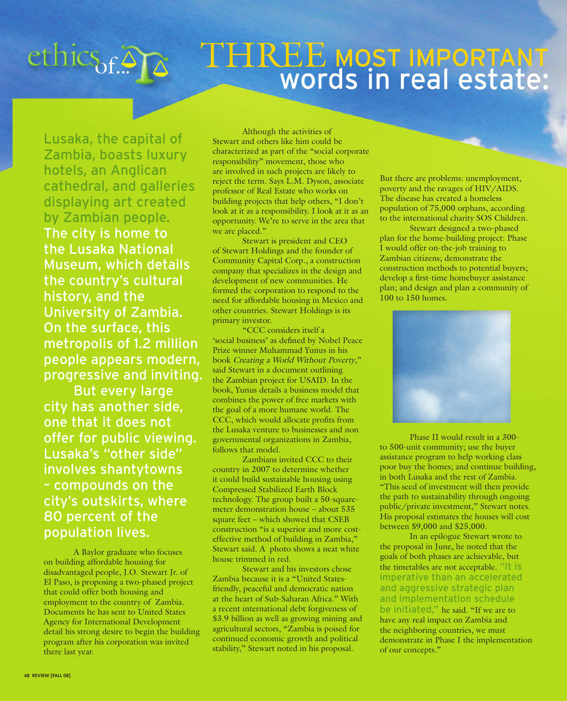## ethics<sub>of</sub>.<sup>2</sup>

## THREE MOST IMPORTANT<br>Words in real estate:

Lusaka, the capital of Zambia, boasts luxury hotels, an Anglican cathedral, and galleries displaying art created by Zambian people. The city is home to the Lusaka National Museum, which details the country's cultural history, and the University of Zambia. On the surface, this metropolis of 1.2 million people appears modern, progressive and inviting.

 But every large city has another side, one that it does not offer for public viewing. Lusaka's "other side" involves shantytowns – compounds on the city's outskirts, where 80 percent of the population lives.

A Baylor graduate who focuses on building affordable housing for disadvantaged people, J.O. Stewart Jr. of El Paso, is proposing a two-phased project that could offer both housing and employment to the country of Zambia. Documents he has sent to United States Agency for International Development detail his strong desire to begin the building program after his corporation was invited there last year.

Although the activities of Stewart and others like him could be characterized as part of the "social corporate responsibility" movement, those who are involved in such projects are likely to reject the term. Says L.M. Dyson, associate professor of Real Estate who works on building projects that help others, "I don't look at it as a responsibility. I look at it as an opportunity. We're to serve in the area that we are placed."

Stewart is president and CEO of Stewart Holdings and the founder of Community Capital Corp., a construction company that specializes in the design and development of new communities. He formed the corporation to respond to the need for affordable housing in Mexico and other countries. Stewart Holdings is its primary investor.

"CCC considers itself a 'social business' as defined by Nobel Peace Prize winner Muhammad Yunus in his book Creating a World Without Poverty," said Stewart in a document outlining the Zambian project for USAID. In the book, Yunus details a business model that combines the power of free markets with the goal of a more humane world. The CCC, which would allocate profits from the Lusaka venture to businesses and non governmental organizations in Zambia, follows that model.

Zambians invited CCC to their country in 2007 to determine whether it could build sustainable housing using Compressed Stabilized Earth Block technology. The group built a 50-squaremeter demonstration house – about 535 square feet – which showed that CSEB construction "is a superior and more costeffective method of building in Zambia," Stewart said. A photo shows a neat white house trimmed in red.

Stewart and his investors chose Zambia because it is a "United Statesfriendly, peaceful and democratic nation at the heart of Sub-Saharan Africa." With a recent international debt forgiveness of \$3.9 billion as well as growing mining and agricultural sectors, "Zambia is poised for continued economic growth and political stability," Stewart noted in his proposal.

But there are problems: unemployment, poverty and the ravages of HIV/AIDS. The disease has created a homeless population of 75,000 orphans, according to the international charity SOS Children.

Stewart designed a two-phased plan for the home-building project: Phase I would offer on-the-job training to Zambian citizens; demonstrate the construction methods to potential buyers; develop a first-time homebuyer assistance plan; and design and plan a community of 100 to 150 homes.



Phase II would result in a 300 to 500-unit community; use the buyer assistance program to help working class poor buy the homes; and continue building, in both Lusaka and the rest of Zambia. "This seed of investment will then provide the path to sustainability through ongoing public/private investment," Stewart notes. His proposal estimates the houses will cost between \$9,000 and \$25,000.

In an epilogue Stewart wrote to the proposal in June, he noted that the goals of both phases are achievable, but the timetables are not acceptable. "It is imperative than an accelerated and aggressive strategic plan and implementation schedule be initiated," he said. "If we are to have any real impact on Zambia and the neighboring countries, we must demonstrate in Phase I the implementation of our concepts."